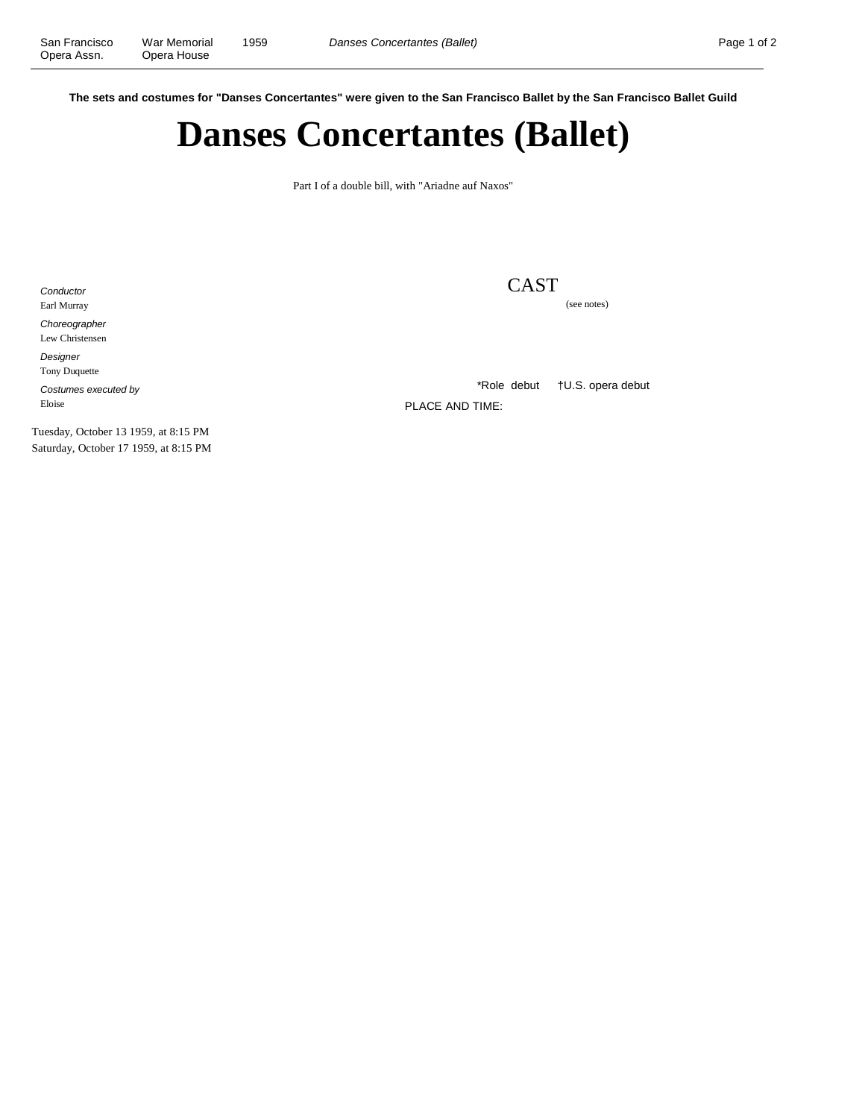**The sets and costumes for "Danses Concertantes" were given to the San Francisco Ballet by the San Francisco Ballet Guild**

## **Danses Concertantes (Ballet)**

Part I of a double bill, with "Ariadne auf Naxos"

**Conductor** Earl Murray Choreographer Lew Christensen Designer

CAST

(see notes)

Tony Duquette Costumes executed by Eloise

\*Role debut †U.S. opera debut

PLACE AND TIME:

Tuesday, October 13 1959, at 8:15 PM Saturday, October 17 1959, at 8:15 PM